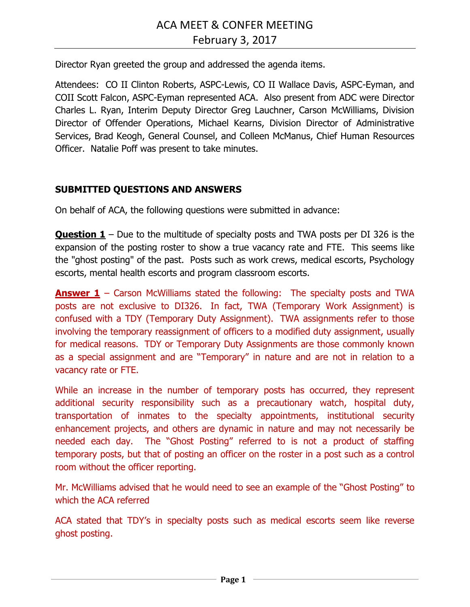Director Ryan greeted the group and addressed the agenda items.

Attendees: CO II Clinton Roberts, ASPC-Lewis, CO II Wallace Davis, ASPC-Eyman, and COII Scott Falcon, ASPC-Eyman represented ACA. Also present from ADC were Director Charles L. Ryan, Interim Deputy Director Greg Lauchner, Carson McWilliams, Division Director of Offender Operations, Michael Kearns, Division Director of Administrative Services, Brad Keogh, General Counsel, and Colleen McManus, Chief Human Resources Officer. Natalie Poff was present to take minutes.

## **SUBMITTED QUESTIONS AND ANSWERS**

On behalf of ACA, the following questions were submitted in advance:

**Question 1** – Due to the multitude of specialty posts and TWA posts per DI 326 is the expansion of the posting roster to show a true vacancy rate and FTE. This seems like the "ghost posting" of the past. Posts such as work crews, medical escorts, Psychology escorts, mental health escorts and program classroom escorts.

**Answer 1** – Carson McWilliams stated the following: The specialty posts and TWA posts are not exclusive to DI326. In fact, TWA (Temporary Work Assignment) is confused with a TDY (Temporary Duty Assignment). TWA assignments refer to those involving the temporary reassignment of officers to a modified duty assignment, usually for medical reasons. TDY or Temporary Duty Assignments are those commonly known as a special assignment and are "Temporary" in nature and are not in relation to a vacancy rate or FTE.

While an increase in the number of temporary posts has occurred, they represent additional security responsibility such as a precautionary watch, hospital duty, transportation of inmates to the specialty appointments, institutional security enhancement projects, and others are dynamic in nature and may not necessarily be needed each day. The "Ghost Posting" referred to is not a product of staffing temporary posts, but that of posting an officer on the roster in a post such as a control room without the officer reporting.

Mr. McWilliams advised that he would need to see an example of the "Ghost Posting" to which the ACA referred

ACA stated that TDY's in specialty posts such as medical escorts seem like reverse ghost posting.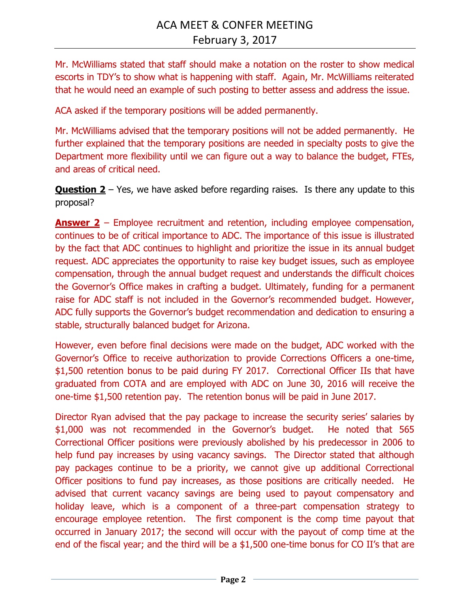Mr. McWilliams stated that staff should make a notation on the roster to show medical escorts in TDY's to show what is happening with staff. Again, Mr. McWilliams reiterated that he would need an example of such posting to better assess and address the issue.

ACA asked if the temporary positions will be added permanently.

Mr. McWilliams advised that the temporary positions will not be added permanently. He further explained that the temporary positions are needed in specialty posts to give the Department more flexibility until we can figure out a way to balance the budget, FTEs, and areas of critical need.

**Question 2** – Yes, we have asked before regarding raises. Is there any update to this proposal?

**Answer 2** – Employee recruitment and retention, including employee compensation, continues to be of critical importance to ADC. The importance of this issue is illustrated by the fact that ADC continues to highlight and prioritize the issue in its annual budget request. ADC appreciates the opportunity to raise key budget issues, such as employee compensation, through the annual budget request and understands the difficult choices the Governor's Office makes in crafting a budget. Ultimately, funding for a permanent raise for ADC staff is not included in the Governor's recommended budget. However, ADC fully supports the Governor's budget recommendation and dedication to ensuring a stable, structurally balanced budget for Arizona.

However, even before final decisions were made on the budget, ADC worked with the Governor's Office to receive authorization to provide Corrections Officers a one-time, \$1,500 retention bonus to be paid during FY 2017. Correctional Officer IIs that have graduated from COTA and are employed with ADC on June 30, 2016 will receive the one-time \$1,500 retention pay. The retention bonus will be paid in June 2017.

Director Ryan advised that the pay package to increase the security series' salaries by \$1,000 was not recommended in the Governor's budget. He noted that 565 Correctional Officer positions were previously abolished by his predecessor in 2006 to help fund pay increases by using vacancy savings. The Director stated that although pay packages continue to be a priority, we cannot give up additional Correctional Officer positions to fund pay increases, as those positions are critically needed. He advised that current vacancy savings are being used to payout compensatory and holiday leave, which is a component of a three-part compensation strategy to encourage employee retention. The first component is the comp time payout that occurred in January 2017; the second will occur with the payout of comp time at the end of the fiscal year; and the third will be a \$1,500 one-time bonus for CO II's that are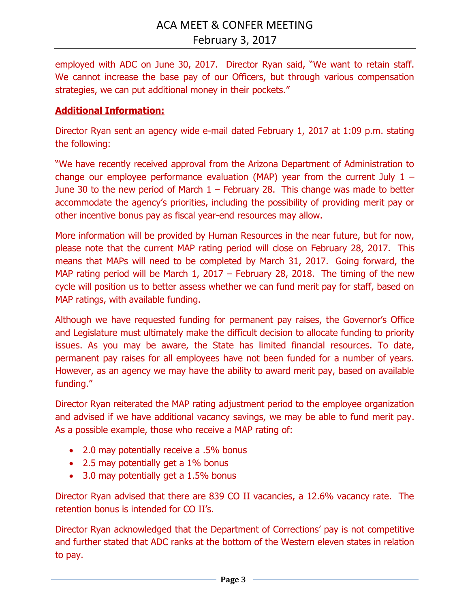employed with ADC on June 30, 2017. Director Ryan said, "We want to retain staff. We cannot increase the base pay of our Officers, but through various compensation strategies, we can put additional money in their pockets."

### **Additional Information:**

Director Ryan sent an agency wide e-mail dated February 1, 2017 at 1:09 p.m. stating the following:

"We have recently received approval from the Arizona Department of Administration to change our employee performance evaluation (MAP) year from the current July  $1 -$ June 30 to the new period of March  $1$  – February 28. This change was made to better accommodate the agency's priorities, including the possibility of providing merit pay or other incentive bonus pay as fiscal year-end resources may allow.

More information will be provided by Human Resources in the near future, but for now, please note that the current MAP rating period will close on February 28, 2017. This means that MAPs will need to be completed by March 31, 2017. Going forward, the MAP rating period will be March 1, 2017 – February 28, 2018. The timing of the new cycle will position us to better assess whether we can fund merit pay for staff, based on MAP ratings, with available funding.

Although we have requested funding for permanent pay raises, the Governor's Office and Legislature must ultimately make the difficult decision to allocate funding to priority issues. As you may be aware, the State has limited financial resources. To date, permanent pay raises for all employees have not been funded for a number of years. However, as an agency we may have the ability to award merit pay, based on available funding."

Director Ryan reiterated the MAP rating adjustment period to the employee organization and advised if we have additional vacancy savings, we may be able to fund merit pay. As a possible example, those who receive a MAP rating of:

- 2.0 may potentially receive a .5% bonus
- 2.5 may potentially get a 1% bonus
- 3.0 may potentially get a 1.5% bonus

Director Ryan advised that there are 839 CO II vacancies, a 12.6% vacancy rate. The retention bonus is intended for CO II's.

Director Ryan acknowledged that the Department of Corrections' pay is not competitive and further stated that ADC ranks at the bottom of the Western eleven states in relation to pay.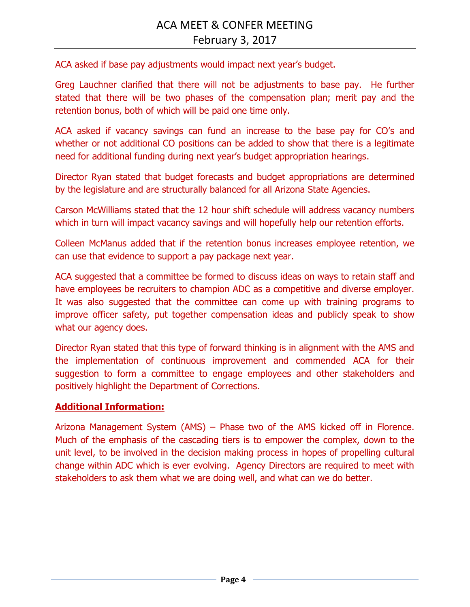ACA asked if base pay adjustments would impact next year's budget.

Greg Lauchner clarified that there will not be adjustments to base pay. He further stated that there will be two phases of the compensation plan; merit pay and the retention bonus, both of which will be paid one time only.

ACA asked if vacancy savings can fund an increase to the base pay for CO's and whether or not additional CO positions can be added to show that there is a legitimate need for additional funding during next year's budget appropriation hearings.

Director Ryan stated that budget forecasts and budget appropriations are determined by the legislature and are structurally balanced for all Arizona State Agencies.

Carson McWilliams stated that the 12 hour shift schedule will address vacancy numbers which in turn will impact vacancy savings and will hopefully help our retention efforts.

Colleen McManus added that if the retention bonus increases employee retention, we can use that evidence to support a pay package next year.

ACA suggested that a committee be formed to discuss ideas on ways to retain staff and have employees be recruiters to champion ADC as a competitive and diverse employer. It was also suggested that the committee can come up with training programs to improve officer safety, put together compensation ideas and publicly speak to show what our agency does.

Director Ryan stated that this type of forward thinking is in alignment with the AMS and the implementation of continuous improvement and commended ACA for their suggestion to form a committee to engage employees and other stakeholders and positively highlight the Department of Corrections.

#### **Additional Information:**

Arizona Management System (AMS) – Phase two of the AMS kicked off in Florence. Much of the emphasis of the cascading tiers is to empower the complex, down to the unit level, to be involved in the decision making process in hopes of propelling cultural change within ADC which is ever evolving. Agency Directors are required to meet with stakeholders to ask them what we are doing well, and what can we do better.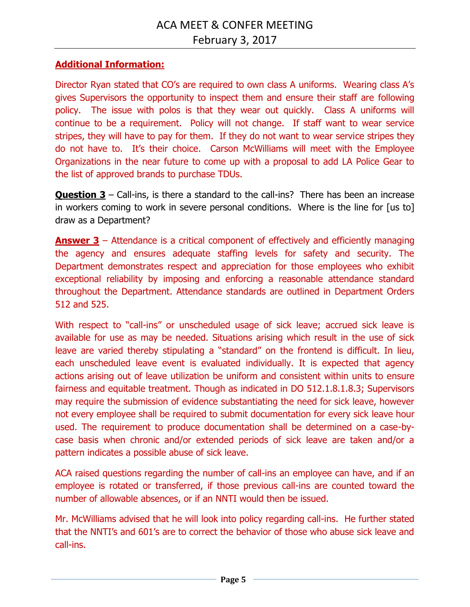# **Additional Information:**

Director Ryan stated that CO's are required to own class A uniforms. Wearing class A's gives Supervisors the opportunity to inspect them and ensure their staff are following policy. The issue with polos is that they wear out quickly. Class A uniforms will continue to be a requirement. Policy will not change. If staff want to wear service stripes, they will have to pay for them. If they do not want to wear service stripes they do not have to. It's their choice. Carson McWilliams will meet with the Employee Organizations in the near future to come up with a proposal to add LA Police Gear to the list of approved brands to purchase TDUs.

**Question 3** – Call-ins, is there a standard to the call-ins? There has been an increase in workers coming to work in severe personal conditions. Where is the line for [us to] draw as a Department?

**Answer 3** – Attendance is a critical component of effectively and efficiently managing the agency and ensures adequate staffing levels for safety and security. The Department demonstrates respect and appreciation for those employees who exhibit exceptional reliability by imposing and enforcing a reasonable attendance standard throughout the Department. Attendance standards are outlined in Department Orders 512 and 525.

With respect to "call-ins" or unscheduled usage of sick leave; accrued sick leave is available for use as may be needed. Situations arising which result in the use of sick leave are varied thereby stipulating a "standard" on the frontend is difficult. In lieu, each unscheduled leave event is evaluated individually. It is expected that agency actions arising out of leave utilization be uniform and consistent within units to ensure fairness and equitable treatment. Though as indicated in DO 512.1.8.1.8.3; Supervisors may require the submission of evidence substantiating the need for sick leave, however not every employee shall be required to submit documentation for every sick leave hour used. The requirement to produce documentation shall be determined on a case-bycase basis when chronic and/or extended periods of sick leave are taken and/or a pattern indicates a possible abuse of sick leave.

ACA raised questions regarding the number of call-ins an employee can have, and if an employee is rotated or transferred, if those previous call-ins are counted toward the number of allowable absences, or if an NNTI would then be issued.

Mr. McWilliams advised that he will look into policy regarding call-ins. He further stated that the NNTI's and 601's are to correct the behavior of those who abuse sick leave and call-ins.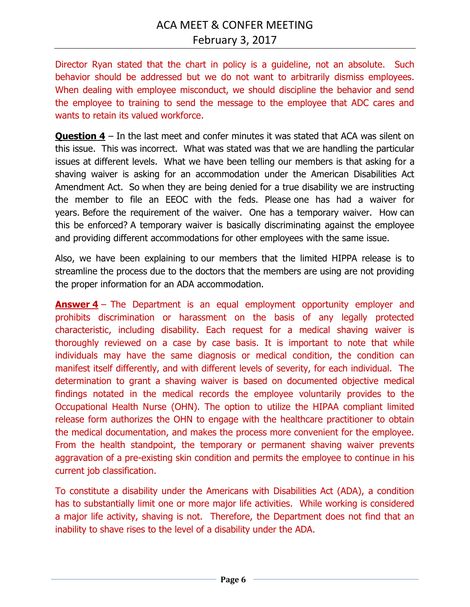Director Ryan stated that the chart in policy is a guideline, not an absolute. Such behavior should be addressed but we do not want to arbitrarily dismiss employees. When dealing with employee misconduct, we should discipline the behavior and send the employee to training to send the message to the employee that ADC cares and wants to retain its valued workforce.

**Question 4** – In the last meet and confer minutes it was stated that ACA was silent on this issue. This was incorrect. What was stated was that we are handling the particular issues at different levels. What we have been telling our members is that asking for a shaving waiver is asking for an accommodation under the American Disabilities Act Amendment Act. So when they are being denied for a true disability we are instructing the member to file an EEOC with the feds. Please one has had a waiver for years. Before the requirement of the waiver. One has a temporary waiver. How can this be enforced? A temporary waiver is basically discriminating against the employee and providing different accommodations for other employees with the same issue.

Also, we have been explaining to our members that the limited HIPPA release is to streamline the process due to the doctors that the members are using are not providing the proper information for an ADA accommodation.

**Answer 4** – The Department is an equal employment opportunity employer and prohibits discrimination or harassment on the basis of any legally protected characteristic, including disability. Each request for a medical shaving waiver is thoroughly reviewed on a case by case basis. It is important to note that while individuals may have the same diagnosis or medical condition, the condition can manifest itself differently, and with different levels of severity, for each individual. The determination to grant a shaving waiver is based on documented objective medical findings notated in the medical records the employee voluntarily provides to the Occupational Health Nurse (OHN). The option to utilize the HIPAA compliant limited release form authorizes the OHN to engage with the healthcare practitioner to obtain the medical documentation, and makes the process more convenient for the employee. From the health standpoint, the temporary or permanent shaving waiver prevents aggravation of a pre-existing skin condition and permits the employee to continue in his current job classification.

To constitute a disability under the Americans with Disabilities Act (ADA), a condition has to substantially limit one or more major life activities. While working is considered a major life activity, shaving is not. Therefore, the Department does not find that an inability to shave rises to the level of a disability under the ADA.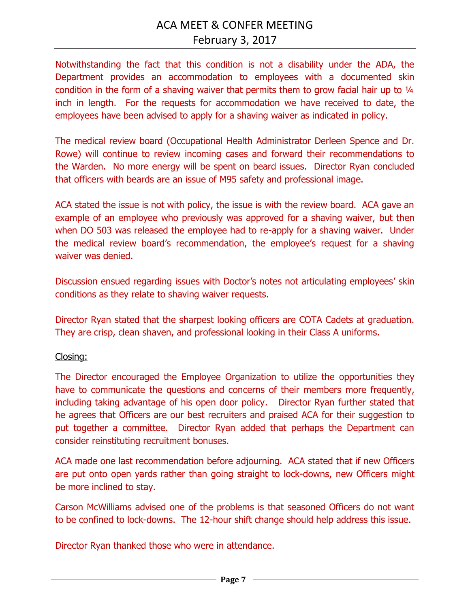Notwithstanding the fact that this condition is not a disability under the ADA, the Department provides an accommodation to employees with a documented skin condition in the form of a shaving waiver that permits them to grow facial hair up to 1/4 inch in length. For the requests for accommodation we have received to date, the employees have been advised to apply for a shaving waiver as indicated in policy.

The medical review board (Occupational Health Administrator Derleen Spence and Dr. Rowe) will continue to review incoming cases and forward their recommendations to the Warden. No more energy will be spent on beard issues. Director Ryan concluded that officers with beards are an issue of M95 safety and professional image.

ACA stated the issue is not with policy, the issue is with the review board. ACA gave an example of an employee who previously was approved for a shaving waiver, but then when DO 503 was released the employee had to re-apply for a shaving waiver. Under the medical review board's recommendation, the employee's request for a shaving waiver was denied.

Discussion ensued regarding issues with Doctor's notes not articulating employees' skin conditions as they relate to shaving waiver requests.

Director Ryan stated that the sharpest looking officers are COTA Cadets at graduation. They are crisp, clean shaven, and professional looking in their Class A uniforms.

#### Closing:

The Director encouraged the Employee Organization to utilize the opportunities they have to communicate the questions and concerns of their members more frequently, including taking advantage of his open door policy. Director Ryan further stated that he agrees that Officers are our best recruiters and praised ACA for their suggestion to put together a committee. Director Ryan added that perhaps the Department can consider reinstituting recruitment bonuses.

ACA made one last recommendation before adjourning. ACA stated that if new Officers are put onto open yards rather than going straight to lock-downs, new Officers might be more inclined to stay.

Carson McWilliams advised one of the problems is that seasoned Officers do not want to be confined to lock-downs. The 12-hour shift change should help address this issue.

Director Ryan thanked those who were in attendance.